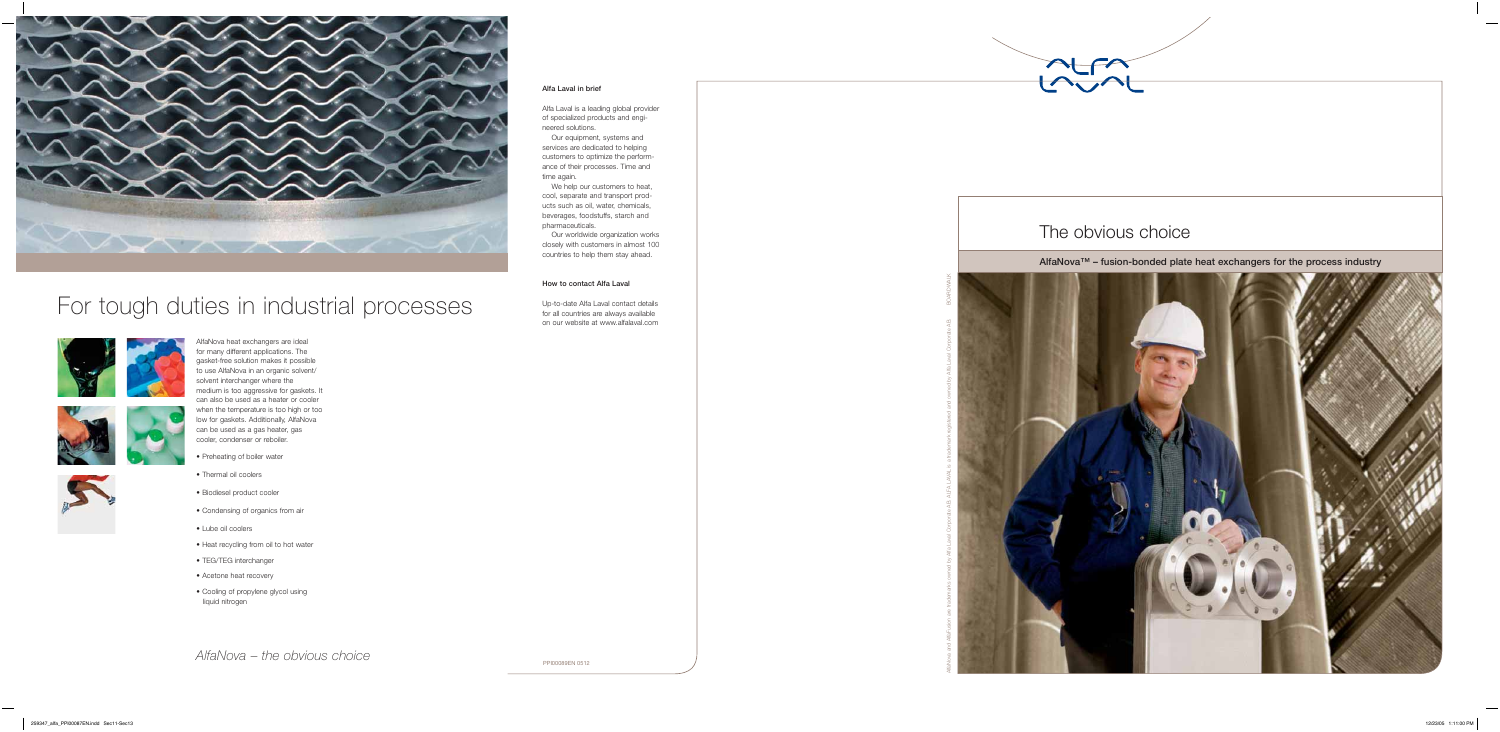

PPI00089EN 0512

#### **Alfa Laval in brief**

Alfa Laval is a leading global provider of specialized products and engineered solutions.

 Our equipment, systems and services are dedicated to helping customers to optimize the performance of their processes. Time and time again.

 We help our customers to heat, cool, separate and transport products such as oil, water, chemicals, beverages, foodstuffs, starch and pharmaceuticals.

 Our worldwide organization works closely with customers in almost 100 countries to help them stay ahead.

#### **How to contact Alfa Laval**

Up-to-date Alfa Laval contact details for all countries are always available on our website at www.alfalaval.com AlfaNova and AlfaFusion are trademarks owned by Alfa Laval Corporate AB. ALFA LAVAL is a trademark registered and owned by Alfa Laval Corporate AB. BOARDWALK

AlfaNova heat exchangers are ideal for many different applications. The gasket-free solution makes it possible to use AlfaNova in an organic solvent/ solvent interchanger where the medium is too aggressive for gaskets. It can also be used as a heater or cooler when the temperature is too high or too low for gaskets. Additionally, AlfaNova can be used as a gas heater, gas cooler, condenser or reboiler.

- Preheating of boiler water
- Thermal oil coolers
- Biodiesel product cooler
- Condensing of organics from air
- Lube oil coolers
- Heat recycling from oil to hot water
- TEG/TEG interchanger
- Acetone heat recovery
- Cooling of propylene glycol using liquid nitrogen

*AlfaNova – the obvious choice*



### For tough duties in industrial processes